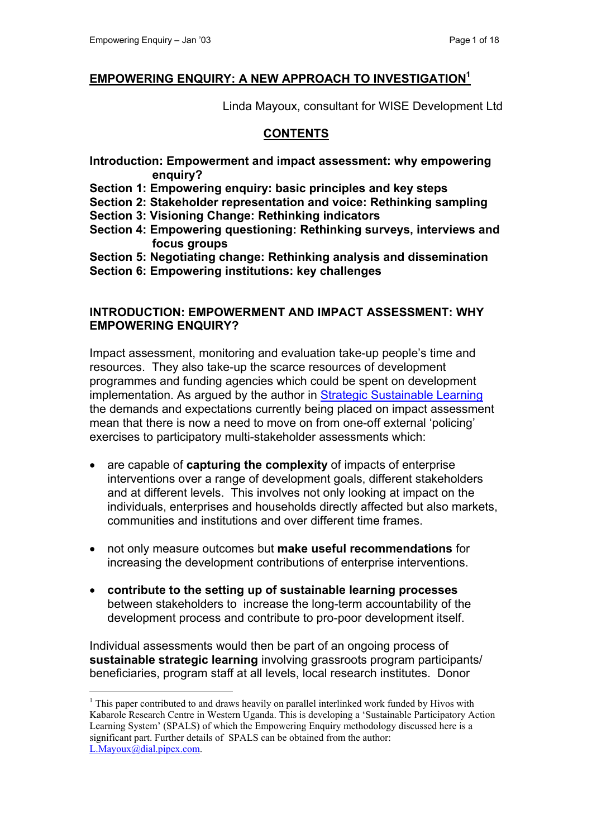$\overline{a}$ 

#### **EMPOWERING ENQUIRY: A NEW APPROACH TO INVESTIGATION[1](#page-0-0)**

Linda Mayoux, consultant for WISE Development Ltd

#### **CONTENTS**

- **Introduction: Empowerment and impact assessment: why empowering enquiry?**
- **Section 1: Empowering enquiry: basic principles and key steps**
- **Section 2: Stakeholder representation and voice: Rethinking sampling**
- **Section 3: Visioning Change: Rethinking indicators**
- **Section 4: Empowering questioning: Rethinking surveys, interviews and focus groups**
- **Section 5: Negotiating change: Rethinking analysis and dissemination**
- **Section 6: Empowering institutions: key challenges**

#### **INTRODUCTION: EMPOWERMENT AND IMPACT ASSESSMENT: WHY EMPOWERING ENQUIRY?**

Impact assessment, monitoring and evaluation take-up people's time and resources. They also take-up the scarce resources of development programmes and funding agencies which could be spent on development implementation. As argued by the author in [Strategic Sustainable Learning](http://www.enterprise-impact.org.uk/overview/index.shtml) the demands and expectations currently being placed on impact assessment mean that there is now a need to move on from one-off external 'policing' exercises to participatory multi-stakeholder assessments which:

- are capable of **capturing the complexity** of impacts of enterprise interventions over a range of development goals, different stakeholders and at different levels. This involves not only looking at impact on the individuals, enterprises and households directly affected but also markets, communities and institutions and over different time frames.
- not only measure outcomes but **make useful recommendations** for increasing the development contributions of enterprise interventions.
- **contribute to the setting up of sustainable learning processes**  between stakeholders to increase the long-term accountability of the development process and contribute to pro-poor development itself.

Individual assessments would then be part of an ongoing process of **sustainable strategic learning** involving grassroots program participants/ beneficiaries, program staff at all levels, local research institutes. Donor

<span id="page-0-0"></span><sup>&</sup>lt;sup>1</sup> This paper contributed to and draws heavily on parallel interlinked work funded by Hivos with Kabarole Research Centre in Western Uganda. This is developing a 'Sustainable Participatory Action Learning System' (SPALS) of which the Empowering Enquiry methodology discussed here is a significant part. Further details of SPALS can be obtained from the author: [L.Mayoux@dial.pipex.com.](mailto:L.Mayoux@dial.pipex.com)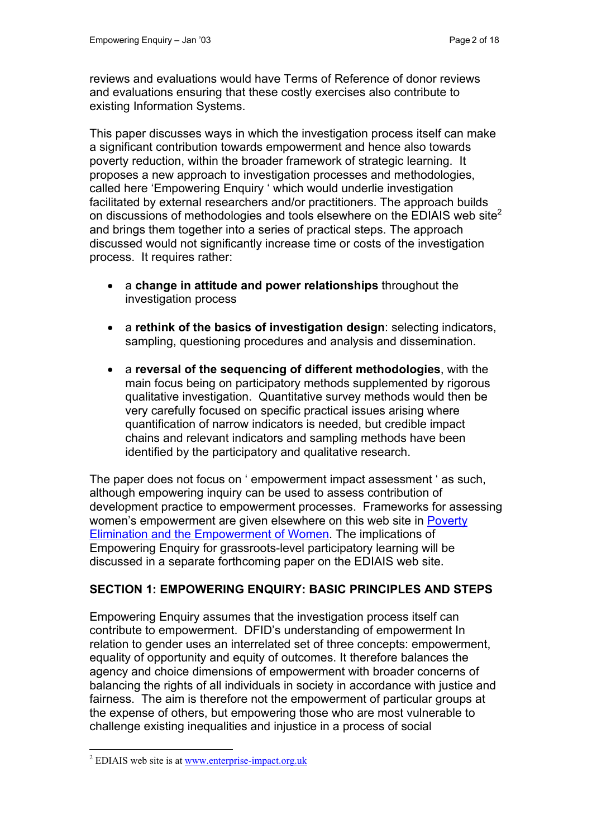reviews and evaluations would have Terms of Reference of donor reviews and evaluations ensuring that these costly exercises also contribute to existing Information Systems.

This paper discusses ways in which the investigation process itself can make a significant contribution towards empowerment and hence also towards poverty reduction, within the broader framework of strategic learning. It proposes a new approach to investigation processes and methodologies, called here 'Empowering Enquiry ' which would underlie investigation facilitated by external researchers and/or practitioners. The approach builds on discussions of methodologies and tools elsewhere on the EDIAIS web site<sup>2</sup> and brings them together into a series of practical steps. The approach discussed would not significantly increase time or costs of the investigation process. It requires rather:

- a **change in attitude and power relationships** throughout the investigation process
- a **rethink of the basics of investigation design**: selecting indicators, sampling, questioning procedures and analysis and dissemination.
- a **reversal of the sequencing of different methodologies**, with the main focus being on participatory methods supplemented by rigorous qualitative investigation. Quantitative survey methods would then be very carefully focused on specific practical issues arising where quantification of narrow indicators is needed, but credible impact chains and relevant indicators and sampling methods have been identified by the participatory and qualitative research.

The paper does not focus on ' empowerment impact assessment ' as such, although empowering inquiry can be used to assess contribution of development practice to empowerment processes. Frameworks for assessing women's empowerment are given elsewhere on this web site in [Poverty](http://www.enterprise-impact.org.uk/approaches/tsp/povelimempowerwomen.shtml)  [Elimination and the Empowerment of Women.](http://www.enterprise-impact.org.uk/approaches/tsp/povelimempowerwomen.shtml) The implications of Empowering Enquiry for grassroots-level participatory learning will be discussed in a separate forthcoming paper on the EDIAIS web site.

## **SECTION 1: EMPOWERING ENQUIRY: BASIC PRINCIPLES AND STEPS**

Empowering Enquiry assumes that the investigation process itself can contribute to empowerment. DFID's understanding of empowerment In relation to gender uses an interrelated set of three concepts: empowerment, equality of opportunity and equity of outcomes. It therefore balances the agency and choice dimensions of empowerment with broader concerns of balancing the rights of all individuals in society in accordance with justice and fairness. The aim is therefore not the empowerment of particular groups at the expense of others, but empowering those who are most vulnerable to challenge existing inequalities and injustice in a process of social

 $\overline{a}$ 

<span id="page-1-0"></span><sup>&</sup>lt;sup>2</sup> EDIAIS web site is at <u>www.enterprise-impact.org.uk</u>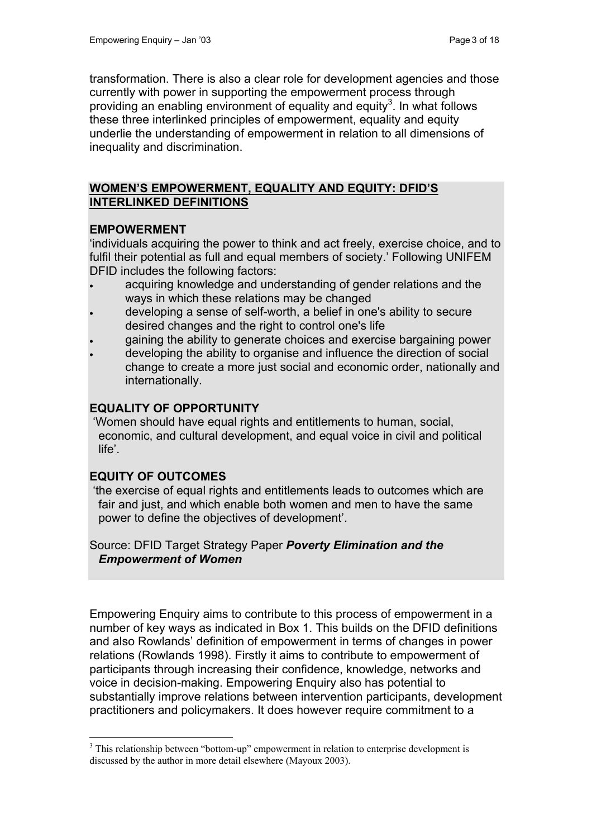transformation. There is also a clear role for development agencies and those currently with power in supporting the empowerment process through providing an enabling environment of equality and equity<sup>[3](#page-2-0)</sup>. In what follows these three interlinked principles of empowerment, equality and equity underlie the understanding of empowerment in relation to all dimensions of inequality and discrimination.

#### **WOMEN'S EMPOWERMENT, EQUALITY AND EQUITY: DFID'S INTERLINKED DEFINITIONS**

#### **EMPOWERMENT**

'individuals acquiring the power to think and act freely, exercise choice, and to fulfil their potential as full and equal members of society.' Following UNIFEM DFID includes the following factors:

- acquiring knowledge and understanding of gender relations and the ways in which these relations may be changed
- developing a sense of self-worth, a belief in one's ability to secure desired changes and the right to control one's life
- gaining the ability to generate choices and exercise bargaining power
- developing the ability to organise and influence the direction of social change to create a more just social and economic order, nationally and internationally.

#### **EQUALITY OF OPPORTUNITY**

 'Women should have equal rights and entitlements to human, social, economic, and cultural development, and equal voice in civil and political life'.

## **EQUITY OF OUTCOMES**

 $\overline{a}$ 

 'the exercise of equal rights and entitlements leads to outcomes which are fair and just, and which enable both women and men to have the same power to define the objectives of development'.

Source: DFID Target Strategy Paper *Poverty Elimination and the Empowerment of Women*

Empowering Enquiry aims to contribute to this process of empowerment in a number of key ways as indicated in Box 1. This builds on the DFID definitions and also Rowlands' definition of empowerment in terms of changes in power relations (Rowlands 1998). Firstly it aims to contribute to empowerment of participants through increasing their confidence, knowledge, networks and voice in decision-making. Empowering Enquiry also has potential to substantially improve relations between intervention participants, development practitioners and policymakers. It does however require commitment to a

<span id="page-2-0"></span> $3$  This relationship between "bottom-up" empowerment in relation to enterprise development is discussed by the author in more detail elsewhere (Mayoux 2003).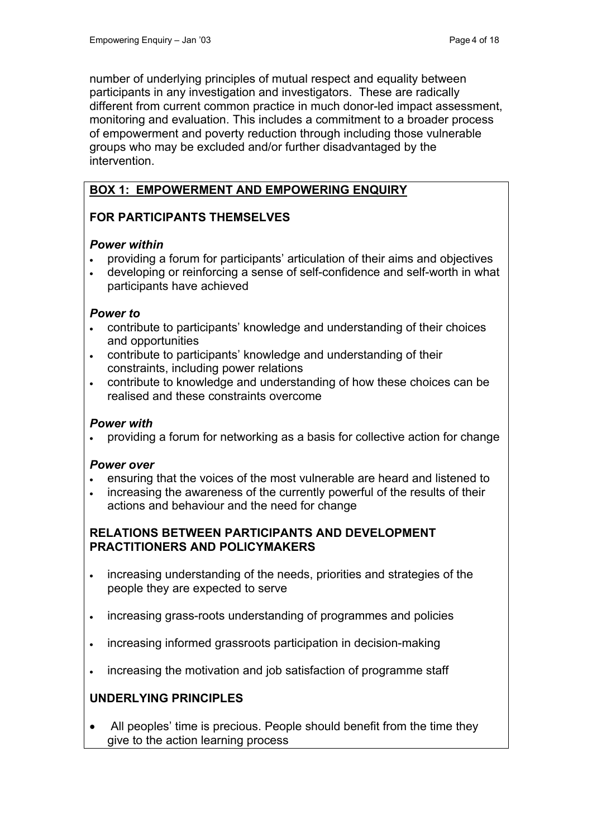number of underlying principles of mutual respect and equality between participants in any investigation and investigators. These are radically different from current common practice in much donor-led impact assessment, monitoring and evaluation. This includes a commitment to a broader process of empowerment and poverty reduction through including those vulnerable groups who may be excluded and/or further disadvantaged by the intervention.

## **BOX 1: EMPOWERMENT AND EMPOWERING ENQUIRY**

## **FOR PARTICIPANTS THEMSELVES**

#### *Power within*

- providing a forum for participants' articulation of their aims and objectives
- developing or reinforcing a sense of self-confidence and self-worth in what participants have achieved

#### *Power to*

- contribute to participants' knowledge and understanding of their choices and opportunities
- contribute to participants' knowledge and understanding of their constraints, including power relations
- contribute to knowledge and understanding of how these choices can be realised and these constraints overcome

### *Power with*

• providing a forum for networking as a basis for collective action for change

## *Power over*

- ensuring that the voices of the most vulnerable are heard and listened to
- increasing the awareness of the currently powerful of the results of their actions and behaviour and the need for change

#### **RELATIONS BETWEEN PARTICIPANTS AND DEVELOPMENT PRACTITIONERS AND POLICYMAKERS**

- increasing understanding of the needs, priorities and strategies of the people they are expected to serve
- increasing grass-roots understanding of programmes and policies
- increasing informed grassroots participation in decision-making
- increasing the motivation and job satisfaction of programme staff

## **UNDERLYING PRINCIPLES**

• All peoples' time is precious. People should benefit from the time they give to the action learning process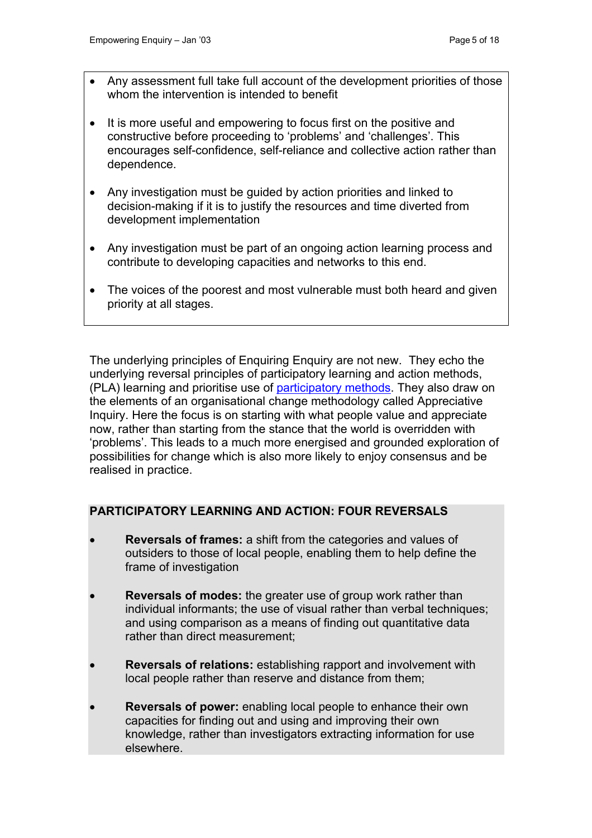- Any assessment full take full account of the development priorities of those whom the intervention is intended to benefit
- It is more useful and empowering to focus first on the positive and constructive before proceeding to 'problems' and 'challenges'. This encourages self-confidence, self-reliance and collective action rather than dependence.
- Any investigation must be guided by action priorities and linked to decision-making if it is to justify the resources and time diverted from development implementation
- Any investigation must be part of an ongoing action learning process and contribute to developing capacities and networks to this end.
- The voices of the poorest and most vulnerable must both heard and given priority at all stages.

The underlying principles of Enquiring Enquiry are not new. They echo the underlying reversal principles of participatory learning and action methods, (PLA) learning and prioritise use of [participatory methods.](http://www.enterprise-impact.org.uk/informationresources/toolbox/particmethods.shtml) They also draw on the elements of an organisational change methodology called Appreciative Inquiry. Here the focus is on starting with what people value and appreciate now, rather than starting from the stance that the world is overridden with 'problems'. This leads to a much more energised and grounded exploration of possibilities for change which is also more likely to enjoy consensus and be realised in practice.

## **PARTICIPATORY LEARNING AND ACTION: FOUR REVERSALS**

- **Reversals of frames:** a shift from the categories and values of outsiders to those of local people, enabling them to help define the frame of investigation
- **Reversals of modes:** the greater use of group work rather than individual informants; the use of visual rather than verbal techniques; and using comparison as a means of finding out quantitative data rather than direct measurement;
- **Reversals of relations:** establishing rapport and involvement with local people rather than reserve and distance from them;
- **Reversals of power:** enabling local people to enhance their own capacities for finding out and using and improving their own knowledge, rather than investigators extracting information for use elsewhere.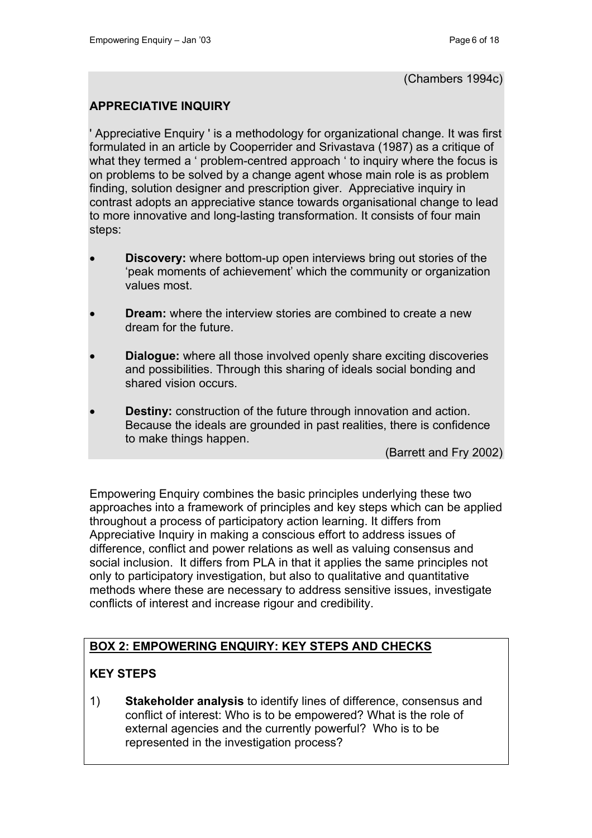### **APPRECIATIVE INQUIRY**

' Appreciative Enquiry ' is a methodology for organizational change. It was first formulated in an article by Cooperrider and Srivastava (1987) as a critique of what they termed a ' problem-centred approach ' to inquiry where the focus is on problems to be solved by a change agent whose main role is as problem finding, solution designer and prescription giver. Appreciative inquiry in contrast adopts an appreciative stance towards organisational change to lead to more innovative and long-lasting transformation. It consists of four main steps:

- **Discovery:** where bottom-up open interviews bring out stories of the 'peak moments of achievement' which the community or organization values most.
- **Dream:** where the interview stories are combined to create a new dream for the future.
- **Dialogue:** where all those involved openly share exciting discoveries and possibilities. Through this sharing of ideals social bonding and shared vision occurs.
- **Destiny:** construction of the future through innovation and action. Because the ideals are grounded in past realities, there is confidence to make things happen.

(Barrett and Fry 2002)

Empowering Enquiry combines the basic principles underlying these two approaches into a framework of principles and key steps which can be applied throughout a process of participatory action learning. It differs from Appreciative Inquiry in making a conscious effort to address issues of difference, conflict and power relations as well as valuing consensus and social inclusion. It differs from PLA in that it applies the same principles not only to participatory investigation, but also to qualitative and quantitative methods where these are necessary to address sensitive issues, investigate conflicts of interest and increase rigour and credibility.

## **BOX 2: EMPOWERING ENQUIRY: KEY STEPS AND CHECKS**

## **KEY STEPS**

1) **Stakeholder analysis** to identify lines of difference, consensus and conflict of interest: Who is to be empowered? What is the role of external agencies and the currently powerful? Who is to be represented in the investigation process?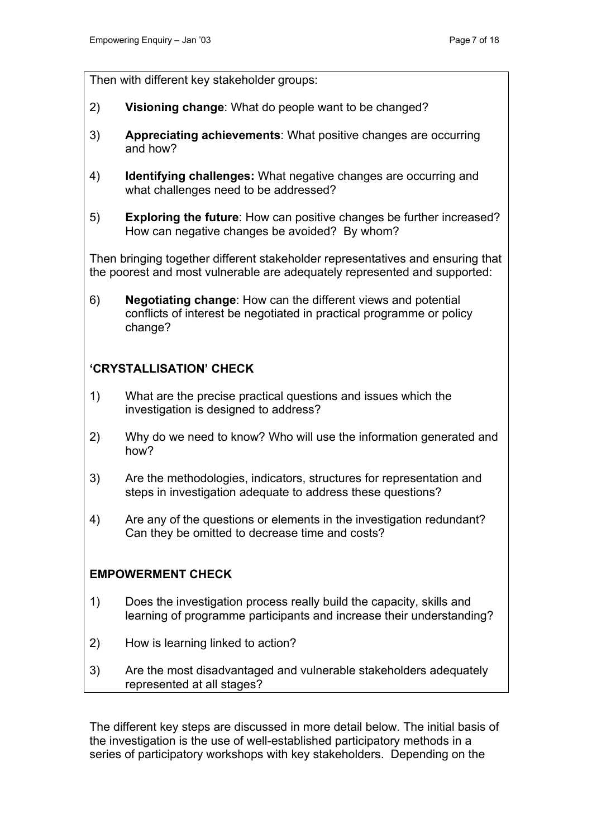Then with different key stakeholder groups:

- 2) **Visioning change**: What do people want to be changed?
- 3) **Appreciating achievements**: What positive changes are occurring and how?
- 4) **Identifying challenges:** What negative changes are occurring and what challenges need to be addressed?
- 5) **Exploring the future**: How can positive changes be further increased? How can negative changes be avoided? By whom?

Then bringing together different stakeholder representatives and ensuring that the poorest and most vulnerable are adequately represented and supported:

6) **Negotiating change**: How can the different views and potential conflicts of interest be negotiated in practical programme or policy change?

## **'CRYSTALLISATION' CHECK**

- 1) What are the precise practical questions and issues which the investigation is designed to address?
- 2) Why do we need to know? Who will use the information generated and how?
- 3) Are the methodologies, indicators, structures for representation and steps in investigation adequate to address these questions?
- 4) Are any of the questions or elements in the investigation redundant? Can they be omitted to decrease time and costs?

#### **EMPOWERMENT CHECK**

- 1) Does the investigation process really build the capacity, skills and learning of programme participants and increase their understanding?
- 2) How is learning linked to action?
- 3) Are the most disadvantaged and vulnerable stakeholders adequately represented at all stages?

The different key steps are discussed in more detail below. The initial basis of the investigation is the use of well-established participatory methods in a series of participatory workshops with key stakeholders. Depending on the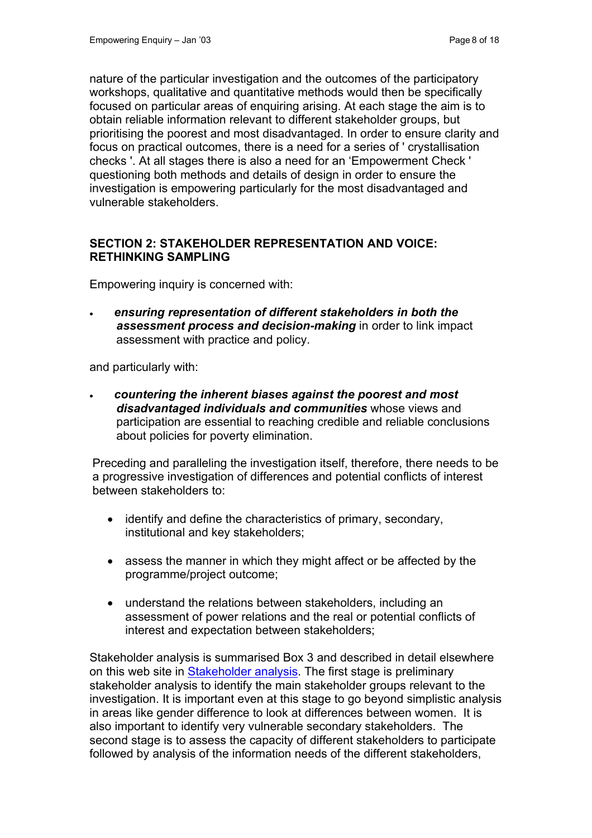nature of the particular investigation and the outcomes of the participatory workshops, qualitative and quantitative methods would then be specifically focused on particular areas of enquiring arising. At each stage the aim is to obtain reliable information relevant to different stakeholder groups, but prioritising the poorest and most disadvantaged. In order to ensure clarity and focus on practical outcomes, there is a need for a series of ' crystallisation checks '. At all stages there is also a need for an 'Empowerment Check ' questioning both methods and details of design in order to ensure the investigation is empowering particularly for the most disadvantaged and vulnerable stakeholders.

#### **SECTION 2: STAKEHOLDER REPRESENTATION AND VOICE: RETHINKING SAMPLING**

Empowering inquiry is concerned with:

• *ensuring representation of different stakeholders in both the assessment process and decision-making* in order to link impact assessment with practice and policy.

and particularly with:

• *countering the inherent biases against the poorest and most disadvantaged individuals and communities* whose views and participation are essential to reaching credible and reliable conclusions about policies for poverty elimination.

Preceding and paralleling the investigation itself, therefore, there needs to be a progressive investigation of differences and potential conflicts of interest between stakeholders to:

- identify and define the characteristics of primary, secondary, institutional and key stakeholders;
- assess the manner in which they might affect or be affected by the programme/project outcome;
- understand the relations between stakeholders, including an assessment of power relations and the real or potential conflicts of interest and expectation between stakeholders;

Stakeholder analysis is summarised Box 3 and described in detail elsewhere on this web site in [Stakeholder analysis](http://www.enterprise-impact.org.uk/informationresources/toolbox/stakeholderanalysis.shtml). The first stage is preliminary stakeholder analysis to identify the main stakeholder groups relevant to the investigation. It is important even at this stage to go beyond simplistic analysis in areas like gender difference to look at differences between women. It is also important to identify very vulnerable secondary stakeholders. The second stage is to assess the capacity of different stakeholders to participate followed by analysis of the information needs of the different stakeholders,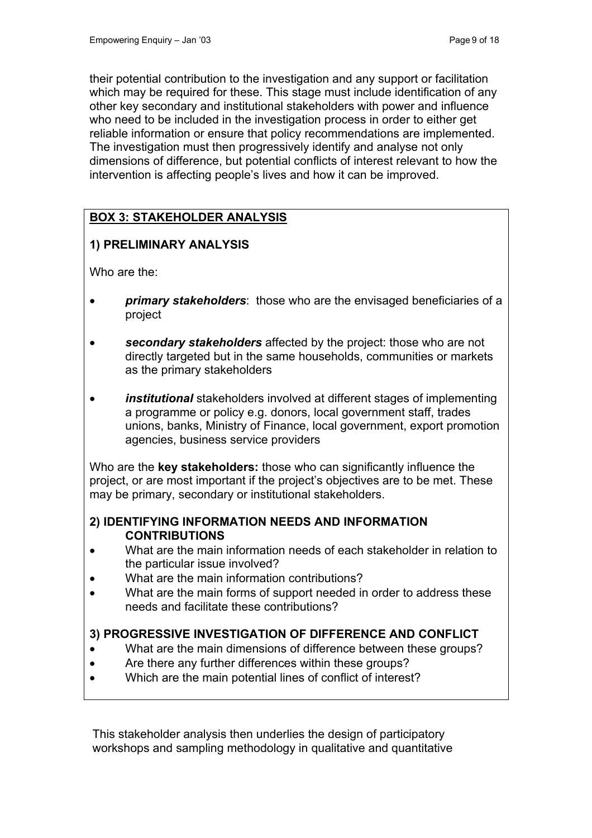their potential contribution to the investigation and any support or facilitation which may be required for these. This stage must include identification of any other key secondary and institutional stakeholders with power and influence who need to be included in the investigation process in order to either get reliable information or ensure that policy recommendations are implemented. The investigation must then progressively identify and analyse not only dimensions of difference, but potential conflicts of interest relevant to how the intervention is affecting people's lives and how it can be improved.

# **BOX 3: STAKEHOLDER ANALYSIS**

# **1) PRELIMINARY ANALYSIS**

Who are the:

- *primary stakeholders*: those who are the envisaged beneficiaries of a project
- *secondary stakeholders* affected by the project: those who are not directly targeted but in the same households, communities or markets as the primary stakeholders
- *institutional* stakeholders involved at different stages of implementing a programme or policy e.g. donors, local government staff, trades unions, banks, Ministry of Finance, local government, export promotion agencies, business service providers

Who are the **key stakeholders:** those who can significantly influence the project, or are most important if the project's objectives are to be met. These may be primary, secondary or institutional stakeholders.

#### **2) IDENTIFYING INFORMATION NEEDS AND INFORMATION CONTRIBUTIONS**

- What are the main information needs of each stakeholder in relation to the particular issue involved?
- What are the main information contributions?
- What are the main forms of support needed in order to address these needs and facilitate these contributions?

## **3) PROGRESSIVE INVESTIGATION OF DIFFERENCE AND CONFLICT**

- What are the main dimensions of difference between these groups?
- Are there any further differences within these groups?
- Which are the main potential lines of conflict of interest?

This stakeholder analysis then underlies the design of participatory workshops and sampling methodology in qualitative and quantitative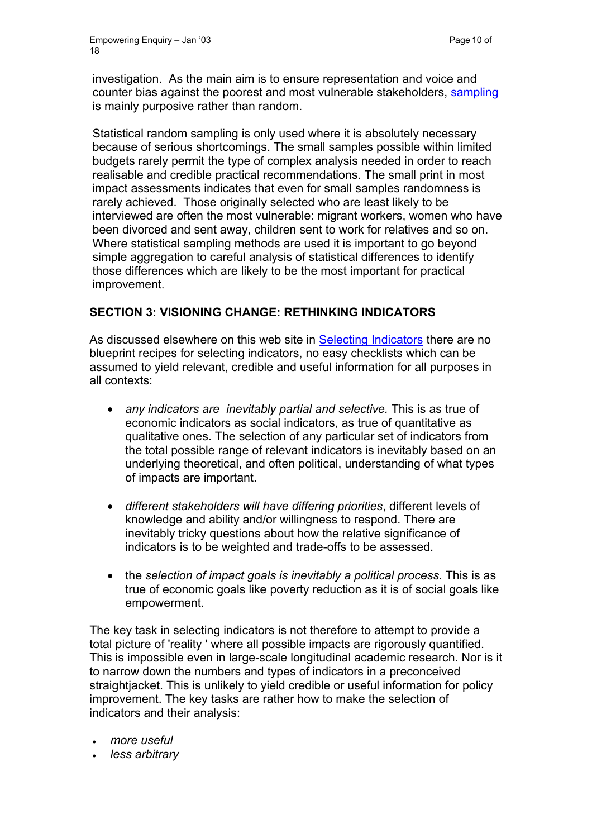investigation. As the main aim is to ensure representation and voice and counter bias against the poorest and most vulnerable stakeholders, [sampling](http://www.enterprise-impact.org.uk/informationresources/toolbox/sampling.shtml) is mainly purposive rather than random.

Statistical random sampling is only used where it is absolutely necessary because of serious shortcomings. The small samples possible within limited budgets rarely permit the type of complex analysis needed in order to reach realisable and credible practical recommendations. The small print in most impact assessments indicates that even for small samples randomness is rarely achieved. Those originally selected who are least likely to be interviewed are often the most vulnerable: migrant workers, women who have been divorced and sent away, children sent to work for relatives and so on. Where statistical sampling methods are used it is important to go beyond simple aggregation to careful analysis of statistical differences to identify those differences which are likely to be the most important for practical improvement.

## **SECTION 3: VISIONING CHANGE: RETHINKING INDICATORS**

As discussed elsewhere on this web site in [Selecting Indicators](http://www.enterprise-impact.org.uk/informationresources/toolbox/selectingindicators.shtml) there are no blueprint recipes for selecting indicators, no easy checklists which can be assumed to yield relevant, credible and useful information for all purposes in all contexts:

- *any indicators are inevitably partial and selective.* This is as true of economic indicators as social indicators, as true of quantitative as qualitative ones. The selection of any particular set of indicators from the total possible range of relevant indicators is inevitably based on an underlying theoretical, and often political, understanding of what types of impacts are important.
- *different stakeholders will have differing priorities*, different levels of knowledge and ability and/or willingness to respond. There are inevitably tricky questions about how the relative significance of indicators is to be weighted and trade-offs to be assessed.
- the *selection of impact goals is inevitably a political process*. This is as true of economic goals like poverty reduction as it is of social goals like empowerment.

The key task in selecting indicators is not therefore to attempt to provide a total picture of 'reality ' where all possible impacts are rigorously quantified. This is impossible even in large-scale longitudinal academic research. Nor is it to narrow down the numbers and types of indicators in a preconceived straightjacket. This is unlikely to yield credible or useful information for policy improvement. The key tasks are rather how to make the selection of indicators and their analysis:

- *more useful*
- *less arbitrary*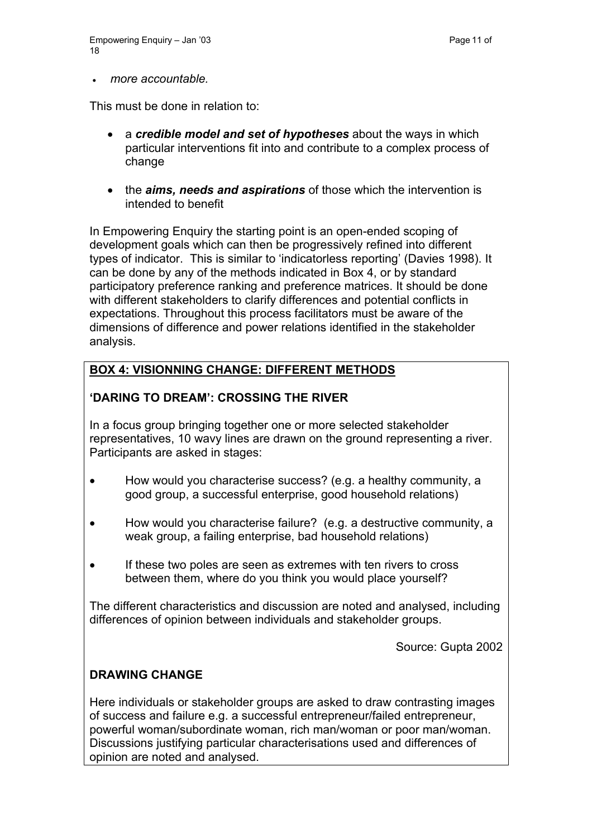• *more accountable.*

This must be done in relation to:

- a *credible model and set of hypotheses* about the ways in which particular interventions fit into and contribute to a complex process of change
- the *aims, needs and aspirations* of those which the intervention is intended to benefit

In Empowering Enquiry the starting point is an open-ended scoping of development goals which can then be progressively refined into different types of indicator. This is similar to 'indicatorless reporting' (Davies 1998). It can be done by any of the methods indicated in Box 4, or by standard participatory preference ranking and preference matrices. It should be done with different stakeholders to clarify differences and potential conflicts in expectations. Throughout this process facilitators must be aware of the dimensions of difference and power relations identified in the stakeholder analysis.

## **BOX 4: VISIONNING CHANGE: DIFFERENT METHODS**

## **'DARING TO DREAM': CROSSING THE RIVER**

In a focus group bringing together one or more selected stakeholder representatives, 10 wavy lines are drawn on the ground representing a river. Participants are asked in stages:

- How would you characterise success? (e.g. a healthy community, a good group, a successful enterprise, good household relations)
- How would you characterise failure? (e.g. a destructive community, a weak group, a failing enterprise, bad household relations)
- If these two poles are seen as extremes with ten rivers to cross between them, where do you think you would place yourself?

The different characteristics and discussion are noted and analysed, including differences of opinion between individuals and stakeholder groups.

Source: Gupta 2002

## **DRAWING CHANGE**

Here individuals or stakeholder groups are asked to draw contrasting images of success and failure e.g. a successful entrepreneur/failed entrepreneur, powerful woman/subordinate woman, rich man/woman or poor man/woman. Discussions justifying particular characterisations used and differences of opinion are noted and analysed.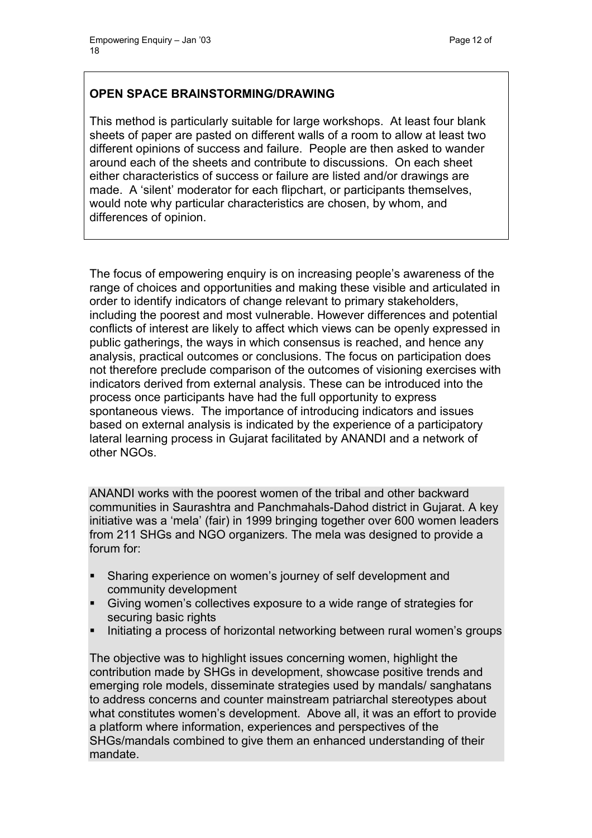## **OPEN SPACE BRAINSTORMING/DRAWING**

This method is particularly suitable for large workshops. At least four blank sheets of paper are pasted on different walls of a room to allow at least two different opinions of success and failure. People are then asked to wander around each of the sheets and contribute to discussions. On each sheet either characteristics of success or failure are listed and/or drawings are made. A 'silent' moderator for each flipchart, or participants themselves, would note why particular characteristics are chosen, by whom, and differences of opinion.

The focus of empowering enquiry is on increasing people's awareness of the range of choices and opportunities and making these visible and articulated in order to identify indicators of change relevant to primary stakeholders, including the poorest and most vulnerable. However differences and potential conflicts of interest are likely to affect which views can be openly expressed in public gatherings, the ways in which consensus is reached, and hence any analysis, practical outcomes or conclusions. The focus on participation does not therefore preclude comparison of the outcomes of visioning exercises with indicators derived from external analysis. These can be introduced into the process once participants have had the full opportunity to express spontaneous views. The importance of introducing indicators and issues based on external analysis is indicated by the experience of a participatory lateral learning process in Gujarat facilitated by ANANDI and a network of other NGOs.

ANANDI works with the poorest women of the tribal and other backward communities in Saurashtra and Panchmahals-Dahod district in Gujarat. A key initiative was a 'mela' (fair) in 1999 bringing together over 600 women leaders from 211 SHGs and NGO organizers. The mela was designed to provide a forum for:

- Sharing experience on women's journey of self development and community development
- Giving women's collectives exposure to a wide range of strategies for securing basic rights
- Initiating a process of horizontal networking between rural women's groups

The objective was to highlight issues concerning women, highlight the contribution made by SHGs in development, showcase positive trends and emerging role models, disseminate strategies used by mandals/ sanghatans to address concerns and counter mainstream patriarchal stereotypes about what constitutes women's development. Above all, it was an effort to provide a platform where information, experiences and perspectives of the SHGs/mandals combined to give them an enhanced understanding of their mandate.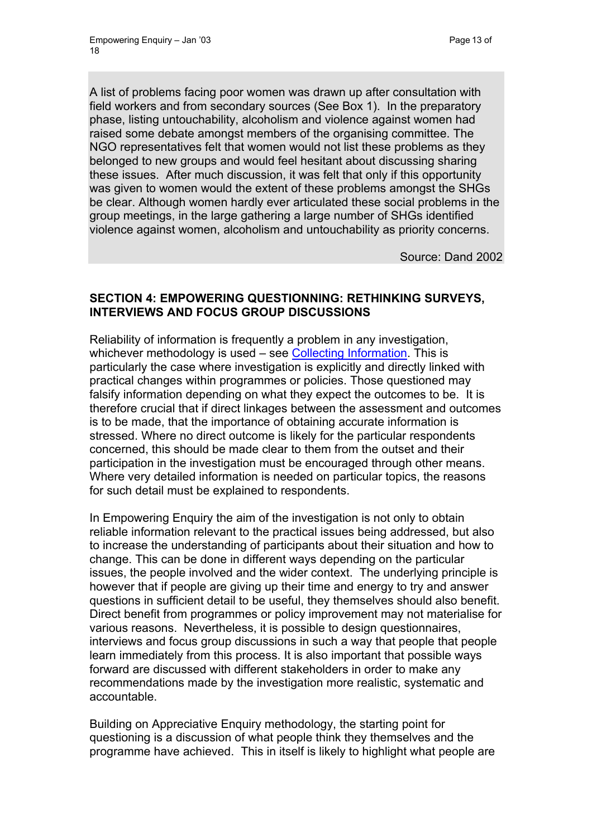A list of problems facing poor women was drawn up after consultation with field workers and from secondary sources (See Box 1). In the preparatory phase, listing untouchability, alcoholism and violence against women had raised some debate amongst members of the organising committee. The NGO representatives felt that women would not list these problems as they belonged to new groups and would feel hesitant about discussing sharing these issues. After much discussion, it was felt that only if this opportunity was given to women would the extent of these problems amongst the SHGs be clear. Although women hardly ever articulated these social problems in the group meetings, in the large gathering a large number of SHGs identified violence against women, alcoholism and untouchability as priority concerns.

Source: Dand 2002

## **SECTION 4: EMPOWERING QUESTIONNING: RETHINKING SURVEYS, INTERVIEWS AND FOCUS GROUP DISCUSSIONS**

Reliability of information is frequently a problem in any investigation, whichever methodology is used – see [Collecting Information](http://www.enterprise-impact.org.uk/informationresources/toolbox/howdowefindout.shtml). This is particularly the case where investigation is explicitly and directly linked with practical changes within programmes or policies. Those questioned may falsify information depending on what they expect the outcomes to be. It is therefore crucial that if direct linkages between the assessment and outcomes is to be made, that the importance of obtaining accurate information is stressed. Where no direct outcome is likely for the particular respondents concerned, this should be made clear to them from the outset and their participation in the investigation must be encouraged through other means. Where very detailed information is needed on particular topics, the reasons for such detail must be explained to respondents.

In Empowering Enquiry the aim of the investigation is not only to obtain reliable information relevant to the practical issues being addressed, but also to increase the understanding of participants about their situation and how to change. This can be done in different ways depending on the particular issues, the people involved and the wider context. The underlying principle is however that if people are giving up their time and energy to try and answer questions in sufficient detail to be useful, they themselves should also benefit. Direct benefit from programmes or policy improvement may not materialise for various reasons. Nevertheless, it is possible to design questionnaires, interviews and focus group discussions in such a way that people that people learn immediately from this process. It is also important that possible ways forward are discussed with different stakeholders in order to make any recommendations made by the investigation more realistic, systematic and accountable.

Building on Appreciative Enquiry methodology, the starting point for questioning is a discussion of what people think they themselves and the programme have achieved. This in itself is likely to highlight what people are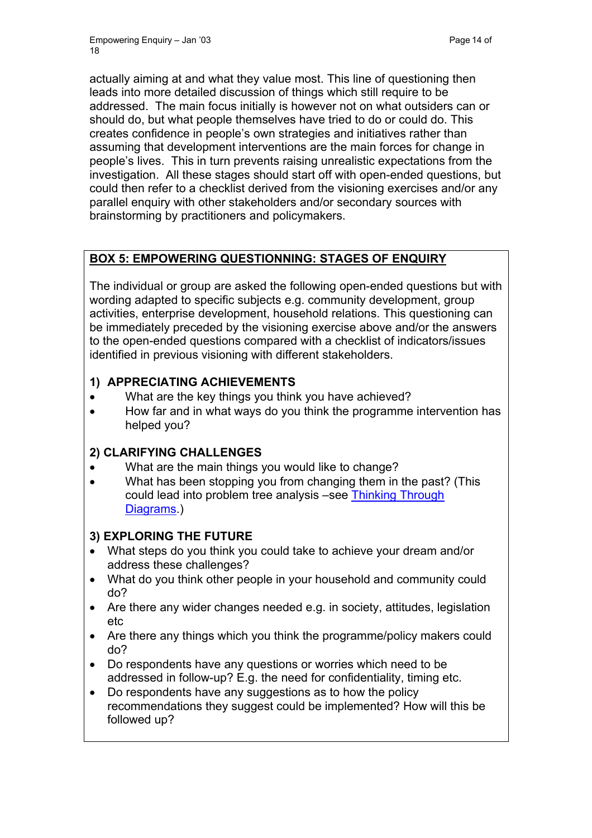actually aiming at and what they value most. This line of questioning then leads into more detailed discussion of things which still require to be addressed. The main focus initially is however not on what outsiders can or should do, but what people themselves have tried to do or could do. This creates confidence in people's own strategies and initiatives rather than assuming that development interventions are the main forces for change in people's lives. This in turn prevents raising unrealistic expectations from the investigation. All these stages should start off with open-ended questions, but could then refer to a checklist derived from the visioning exercises and/or any parallel enquiry with other stakeholders and/or secondary sources with brainstorming by practitioners and policymakers.

# **BOX 5: EMPOWERING QUESTIONNING: STAGES OF ENQUIRY**

The individual or group are asked the following open-ended questions but with wording adapted to specific subjects e.g. community development, group activities, enterprise development, household relations. This questioning can be immediately preceded by the visioning exercise above and/or the answers to the open-ended questions compared with a checklist of indicators/issues identified in previous visioning with different stakeholders.

## **1) APPRECIATING ACHIEVEMENTS**

- What are the key things you think you have achieved?
- How far and in what ways do you think the programme intervention has helped you?

# **2) CLARIFYING CHALLENGES**

- What are the main things you would like to change?
- What has been stopping you from changing them in the past? (This could lead into problem tree analysis –see [Thinking Through](http://www.enterprise-impact.org.uk/informationresources/toolbox/thinkingitthrough.shtml)  [Diagrams](http://www.enterprise-impact.org.uk/informationresources/toolbox/thinkingitthrough.shtml).

# **3) EXPLORING THE FUTURE**

- What steps do you think you could take to achieve your dream and/or address these challenges?
- What do you think other people in your household and community could do?
- Are there any wider changes needed e.g. in society, attitudes, legislation etc
- Are there any things which you think the programme/policy makers could do?
- Do respondents have any questions or worries which need to be addressed in follow-up? E.g. the need for confidentiality, timing etc.
- Do respondents have any suggestions as to how the policy recommendations they suggest could be implemented? How will this be followed up?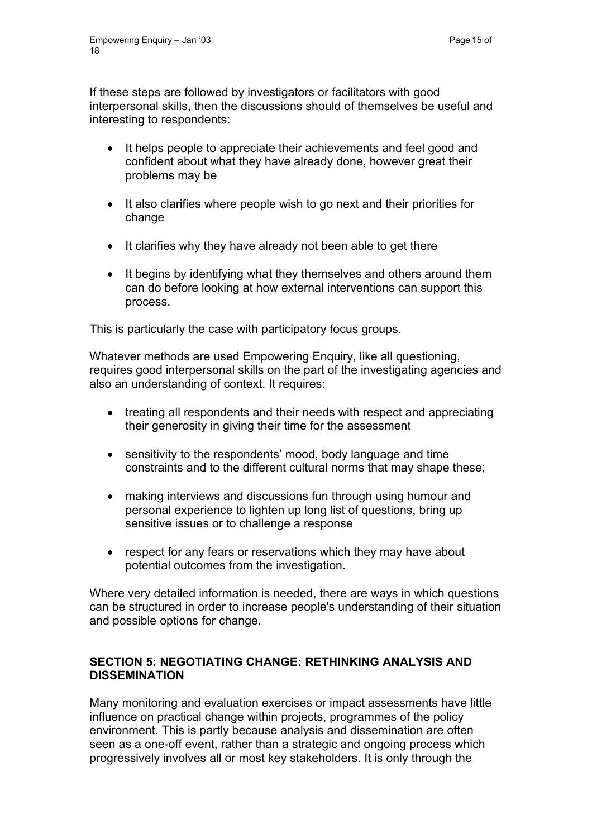If these steps are followed by investigators or facilitators with good interpersonal skills, then the discussions should of themselves be useful and interesting to respondents:

- It helps people to appreciate their achievements and feel good and confident about what they have already done, however great their problems may be
- It also clarifies where people wish to go next and their priorities for change
- It clarifies why they have already not been able to get there
- It begins by identifying what they themselves and others around them can do before looking at how external interventions can support this process.

This is particularly the case with participatory focus groups.

Whatever methods are used Empowering Enquiry, like all questioning. requires good interpersonal skills on the part of the investigating agencies and also an understanding of context. It requires:

- treating all respondents and their needs with respect and appreciating their generosity in giving their time for the assessment
- sensitivity to the respondents' mood, body language and time constraints and to the different cultural norms that may shape these;
- making interviews and discussions fun through using humour and personal experience to lighten up long list of questions, bring up sensitive issues or to challenge a response
- respect for any fears or reservations which they may have about potential outcomes from the investigation.

Where very detailed information is needed, there are ways in which questions can be structured in order to increase people's understanding of their situation and possible options for change.

#### **SECTION 5: NEGOTIATING CHANGE: RETHINKING ANALYSIS AND DISSEMINATION**

Many monitoring and evaluation exercises or impact assessments have little influence on practical change within projects, programmes of the policy environment. This is partly because analysis and dissemination are often seen as a one-off event, rather than a strategic and ongoing process which progressively involves all or most key stakeholders. It is only through the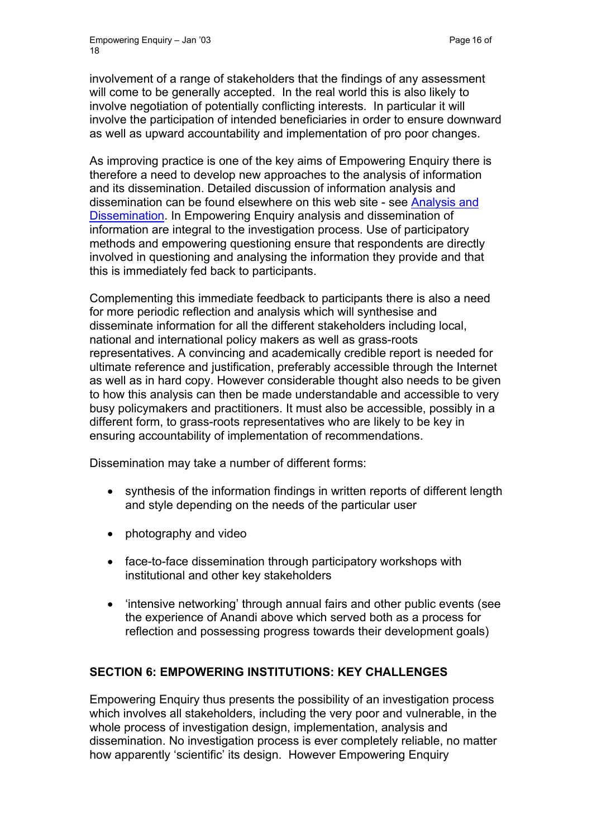involvement of a range of stakeholders that the findings of any assessment will come to be generally accepted. In the real world this is also likely to involve negotiation of potentially conflicting interests. In particular it will involve the participation of intended beneficiaries in order to ensure downward as well as upward accountability and implementation of pro poor changes.

As improving practice is one of the key aims of Empowering Enquiry there is therefore a need to develop new approaches to the analysis of information and its dissemination. Detailed discussion of information analysis and dissemination can be found elsewhere on this web site - see [Analysis and](http://www.enterprise-impact.org.uk/informationresources/toolbox/whatdowedo.shtml)  [Dissemination](http://www.enterprise-impact.org.uk/informationresources/toolbox/whatdowedo.shtml). In Empowering Enquiry analysis and dissemination of information are integral to the investigation process. Use of participatory methods and empowering questioning ensure that respondents are directly involved in questioning and analysing the information they provide and that this is immediately fed back to participants.

Complementing this immediate feedback to participants there is also a need for more periodic reflection and analysis which will synthesise and disseminate information for all the different stakeholders including local, national and international policy makers as well as grass-roots representatives. A convincing and academically credible report is needed for ultimate reference and justification, preferably accessible through the Internet as well as in hard copy. However considerable thought also needs to be given to how this analysis can then be made understandable and accessible to very busy policymakers and practitioners. It must also be accessible, possibly in a different form, to grass-roots representatives who are likely to be key in ensuring accountability of implementation of recommendations.

Dissemination may take a number of different forms:

- synthesis of the information findings in written reports of different length and style depending on the needs of the particular user
- photography and video
- face-to-face dissemination through participatory workshops with institutional and other key stakeholders
- 'intensive networking' through annual fairs and other public events (see the experience of Anandi above which served both as a process for reflection and possessing progress towards their development goals)

## **SECTION 6: EMPOWERING INSTITUTIONS: KEY CHALLENGES**

Empowering Enquiry thus presents the possibility of an investigation process which involves all stakeholders, including the very poor and vulnerable, in the whole process of investigation design, implementation, analysis and dissemination. No investigation process is ever completely reliable, no matter how apparently 'scientific' its design. However Empowering Enquiry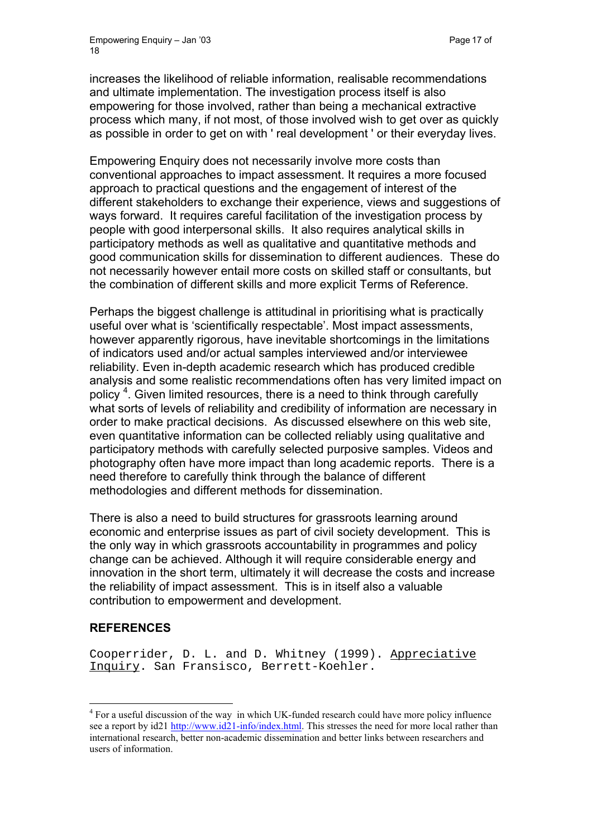increases the likelihood of reliable information, realisable recommendations and ultimate implementation. The investigation process itself is also empowering for those involved, rather than being a mechanical extractive process which many, if not most, of those involved wish to get over as quickly as possible in order to get on with ' real development ' or their everyday lives.

Empowering Enquiry does not necessarily involve more costs than conventional approaches to impact assessment. It requires a more focused approach to practical questions and the engagement of interest of the different stakeholders to exchange their experience, views and suggestions of ways forward. It requires careful facilitation of the investigation process by people with good interpersonal skills. It also requires analytical skills in participatory methods as well as qualitative and quantitative methods and good communication skills for dissemination to different audiences. These do not necessarily however entail more costs on skilled staff or consultants, but the combination of different skills and more explicit Terms of Reference.

Perhaps the biggest challenge is attitudinal in prioritising what is practically useful over what is 'scientifically respectable'. Most impact assessments, however apparently rigorous, have inevitable shortcomings in the limitations of indicators used and/or actual samples interviewed and/or interviewee reliability. Even in-depth academic research which has produced credible analysis and some realistic recommendations often has very limited impact on policy<sup>[4](#page-16-0)</sup>. Given limited resources, there is a need to think through carefully what sorts of levels of reliability and credibility of information are necessary in order to make practical decisions. As discussed elsewhere on this web site, even quantitative information can be collected reliably using qualitative and participatory methods with carefully selected purposive samples. Videos and photography often have more impact than long academic reports. There is a need therefore to carefully think through the balance of different methodologies and different methods for dissemination.

There is also a need to build structures for grassroots learning around economic and enterprise issues as part of civil society development. This is the only way in which grassroots accountability in programmes and policy change can be achieved. Although it will require considerable energy and innovation in the short term, ultimately it will decrease the costs and increase the reliability of impact assessment. This is in itself also a valuable contribution to empowerment and development.

## **REFERENCES**

 $\overline{a}$ 

Cooperrider, D. L. and D. Whitney (1999). Appreciative Inquiry. San Fransisco, Berrett-Koehler.

<span id="page-16-0"></span><sup>&</sup>lt;sup>4</sup> For a useful discussion of the way in which UK-funded research could have more policy influence see a report by id21 <http://www.id21-info/index.html>. This stresses the need for more local rather than international research, better non-academic dissemination and better links between researchers and users of information.